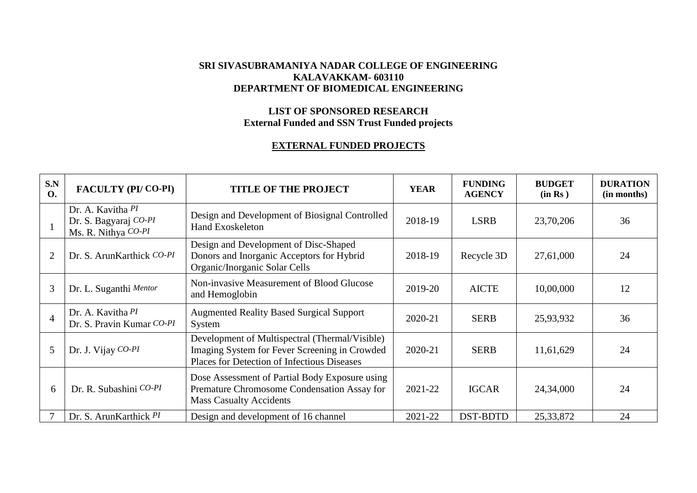## **SRI SIVASUBRAMANIYA NADAR COLLEGE OF ENGINEERING KALAVAKKAM- 603110 DEPARTMENT OF BIOMEDICAL ENGINEERING**

## **LIST OF SPONSORED RESEARCH External Funded and SSN Trust Funded projects**

## **EXTERNAL FUNDED PROJECTS**

| S.N<br><b>O.</b> | <b>FACULTY (PI/CO-PI)</b>                                         | <b>TITLE OF THE PROJECT</b>                                                                                                                           | <b>YEAR</b> | <b>FUNDING</b><br><b>AGENCY</b> | <b>BUDGET</b><br>(in Rs) | <b>DURATION</b><br>(in months) |
|------------------|-------------------------------------------------------------------|-------------------------------------------------------------------------------------------------------------------------------------------------------|-------------|---------------------------------|--------------------------|--------------------------------|
|                  | Dr. A. Kavitha PI<br>Dr. S. Bagyaraj CO-PI<br>Ms. R. Nithya CO-PI | Design and Development of Biosignal Controlled<br><b>Hand Exoskeleton</b>                                                                             | 2018-19     | <b>LSRB</b>                     | 23,70,206                | 36                             |
| $\overline{2}$   | Dr. S. ArunKarthick CO-PI                                         | Design and Development of Disc-Shaped<br>Donors and Inorganic Acceptors for Hybrid<br>Organic/Inorganic Solar Cells                                   | 2018-19     | Recycle 3D                      | 27,61,000                | 24                             |
| 3                | Dr. L. Suganthi Mentor                                            | Non-invasive Measurement of Blood Glucose<br>and Hemoglobin                                                                                           | 2019-20     | <b>AICTE</b>                    | 10,00,000                | 12                             |
| $\overline{4}$   | Dr. A. Kavitha PI<br>Dr. S. Pravin Kumar CO-PI                    | <b>Augmented Reality Based Surgical Support</b><br>System                                                                                             | 2020-21     | <b>SERB</b>                     | 25,93,932                | 36                             |
| 5                | Dr. J. Vijay CO-PI                                                | Development of Multispectral (Thermal/Visible)<br>Imaging System for Fever Screening in Crowded<br><b>Places for Detection of Infectious Diseases</b> | 2020-21     | <b>SERB</b>                     | 11,61,629                | 24                             |
| 6                | Dr. R. Subashini CO-PI                                            | Dose Assessment of Partial Body Exposure using<br>Premature Chromosome Condensation Assay for<br><b>Mass Casualty Accidents</b>                       | 2021-22     | <b>IGCAR</b>                    | 24,34,000                | 24                             |
|                  | Dr. S. ArunKarthick PI                                            | Design and development of 16 channel                                                                                                                  | 2021-22     | DST-BDTD                        | 25,33,872                | 24                             |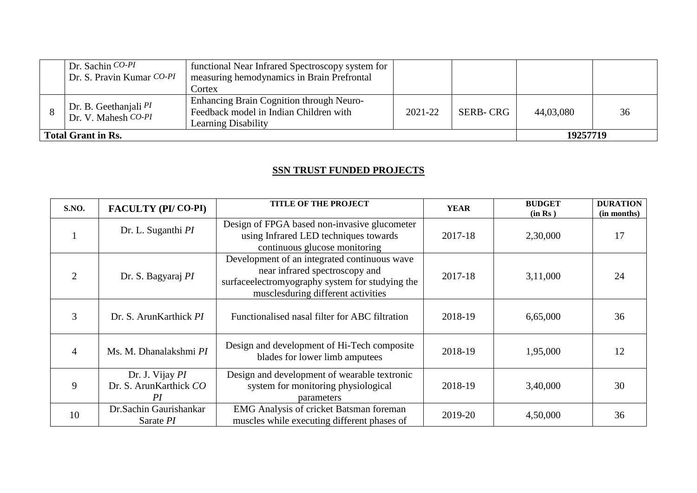|                           | Dr. Sachin CO-PI                             | functional Near Infrared Spectroscopy system for                                                                 |         |                 |           |    |
|---------------------------|----------------------------------------------|------------------------------------------------------------------------------------------------------------------|---------|-----------------|-----------|----|
|                           | Dr. S. Pravin Kumar CO-PI                    | measuring hemodynamics in Brain Prefrontal                                                                       |         |                 |           |    |
|                           |                                              | Cortex                                                                                                           |         |                 |           |    |
|                           | Dr. B. Geethanjali PI<br>Dr. V. Mahesh CO-PI | Enhancing Brain Cognition through Neuro-<br>Feedback model in Indian Children with<br><b>Learning Disability</b> | 2021-22 | <b>SERB-CRG</b> | 44,03,080 | 36 |
| <b>Total Grant in Rs.</b> |                                              |                                                                                                                  |         |                 | 19257719  |    |

## **SSN TRUST FUNDED PROJECTS**

| S.NO.                       | <b>FACULTY (PI/CO-PI)</b>                       | <b>TITLE OF THE PROJECT</b>                                                                                                                                             | <b>YEAR</b> | <b>BUDGET</b><br>(in Rs) | <b>DURATION</b><br>(in months) |
|-----------------------------|-------------------------------------------------|-------------------------------------------------------------------------------------------------------------------------------------------------------------------------|-------------|--------------------------|--------------------------------|
|                             | Dr. L. Suganthi PI                              | Design of FPGA based non-invasive glucometer<br>using Infrared LED techniques towards<br>continuous glucose monitoring                                                  | 2017-18     | 2,30,000                 | 17                             |
| $\mathcal{D}_{\mathcal{L}}$ | Dr. S. Bagyaraj PI                              | Development of an integrated continuous wave<br>near infrared spectroscopy and<br>surfaceelectromyography system for studying the<br>musclesduring different activities | 2017-18     | 3,11,000                 | 24                             |
| 3                           | Dr. S. ArunKarthick PI                          | Functionalised nasal filter for ABC filtration                                                                                                                          | 2018-19     | 6,65,000                 | 36                             |
| $\overline{4}$              | Ms. M. Dhanalakshmi PI                          | Design and development of Hi-Tech composite<br>blades for lower limb amputees                                                                                           | 2018-19     | 1,95,000                 | 12                             |
| 9                           | Dr. J. Vijay PI<br>Dr. S. ArunKarthick CO<br>PI | Design and development of wearable textronic<br>system for monitoring physiological<br>parameters                                                                       | 2018-19     | 3,40,000                 | 30                             |
| 10                          | Dr.Sachin Gaurishankar<br>Sarate PI             | EMG Analysis of cricket Batsman foreman<br>muscles while executing different phases of                                                                                  | 2019-20     | 4,50,000                 | 36                             |